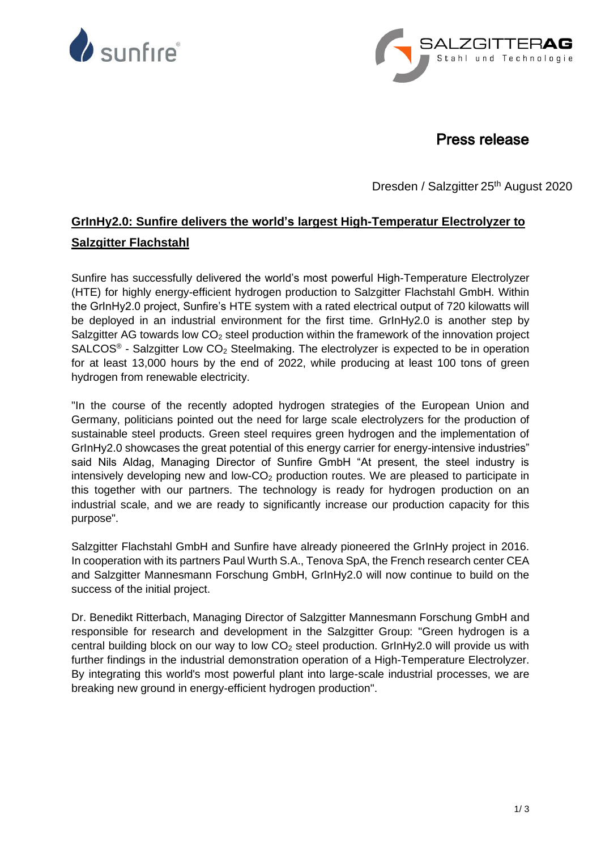



# Press release

Dresden / Salzgitter 25<sup>th</sup> August 2020

# **GrInHy2.0: Sunfire delivers the world's largest High-Temperatur Electrolyzer to Salzgitter Flachstahl**

Sunfire has successfully delivered the world's most powerful High-Temperature Electrolyzer (HTE) for highly energy-efficient hydrogen production to Salzgitter Flachstahl GmbH. Within the GrInHy2.0 project, Sunfire's HTE system with a rated electrical output of 720 kilowatts will be deployed in an industrial environment for the first time. GrInHy2.0 is another step by Salzgitter AG towards low  $CO<sub>2</sub>$  steel production within the framework of the innovation project  $SALCOS<sup>®</sup>$  - Salzgitter Low  $CO<sub>2</sub>$  Steelmaking. The electrolyzer is expected to be in operation for at least 13,000 hours by the end of 2022, while producing at least 100 tons of green hydrogen from renewable electricity.

"In the course of the recently adopted hydrogen strategies of the European Union and Germany, politicians pointed out the need for large scale electrolyzers for the production of sustainable steel products. Green steel requires green hydrogen and the implementation of GrInHy2.0 showcases the great potential of this energy carrier for energy-intensive industries" said Nils Aldag, Managing Director of Sunfire GmbH "At present, the steel industry is intensively developing new and low- $CO<sub>2</sub>$  production routes. We are pleased to participate in this together with our partners. The technology is ready for hydrogen production on an industrial scale, and we are ready to significantly increase our production capacity for this purpose".

Salzgitter Flachstahl GmbH and Sunfire have already pioneered the GrInHy project in 2016. In cooperation with its partners Paul Wurth S.A., Tenova SpA, the French research center CEA and Salzgitter Mannesmann Forschung GmbH, GrInHy2.0 will now continue to build on the success of the initial project.

Dr. Benedikt Ritterbach, Managing Director of Salzgitter Mannesmann Forschung GmbH and responsible for research and development in the Salzgitter Group: "Green hydrogen is a central building block on our way to low  $CO<sub>2</sub>$  steel production. GrInHy2.0 will provide us with further findings in the industrial demonstration operation of a High-Temperature Electrolyzer. By integrating this world's most powerful plant into large-scale industrial processes, we are breaking new ground in energy-efficient hydrogen production".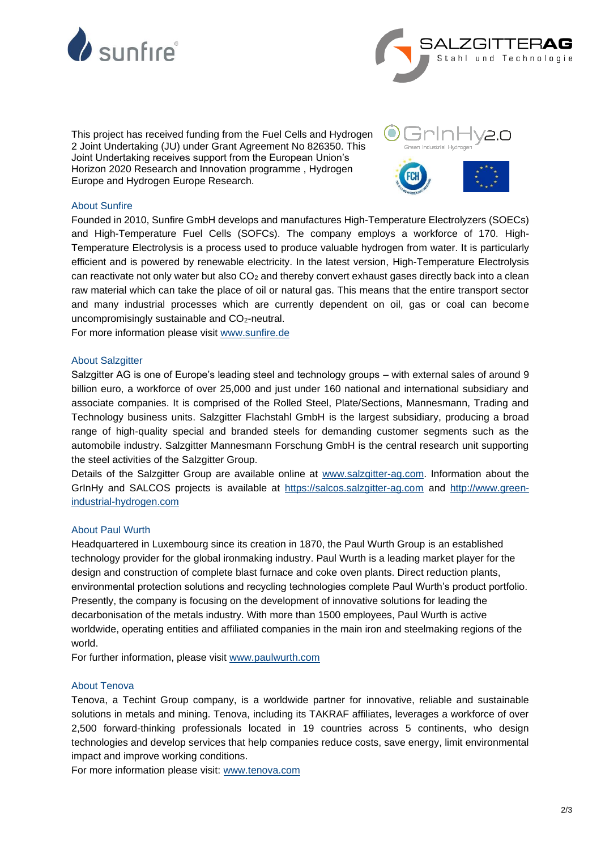



This project has received funding from the Fuel Cells and Hydrogen 2 Joint Undertaking (JU) under Grant Agreement No 826350. This Joint Undertaking receives support from the European Union's Horizon 2020 Research and Innovation programme , Hydrogen Europe and Hydrogen Europe Research.



# About Sunfire

Founded in 2010, Sunfire GmbH develops and manufactures High-Temperature Electrolyzers (SOECs) and High-Temperature Fuel Cells (SOFCs). The company employs a workforce of 170. High-Temperature Electrolysis is a process used to produce valuable hydrogen from water. It is particularly efficient and is powered by renewable electricity. In the latest version, High-Temperature Electrolysis can reactivate not only water but also  $CO<sub>2</sub>$  and thereby convert exhaust gases directly back into a clean raw material which can take the place of oil or natural gas. This means that the entire transport sector and many industrial processes which are currently dependent on oil, gas or coal can become uncompromisingly sustainable and  $CO<sub>2</sub>$ -neutral.

For more information please visit [www.sunfire.de](http://www.sunfire.de/)

### About Salzgitter

Salzgitter AG is one of Europe's leading steel and technology groups – with external sales of around 9 billion euro, a workforce of over 25,000 and just under 160 national and international subsidiary and associate companies. It is comprised of the Rolled Steel, Plate/Sections, Mannesmann, Trading and Technology business units. Salzgitter Flachstahl GmbH is the largest subsidiary, producing a broad range of high-quality special and branded steels for demanding customer segments such as the automobile industry. Salzgitter Mannesmann Forschung GmbH is the central research unit supporting the steel activities of the Salzgitter Group.

Details of the Salzgitter Group are available online at [www.salzgitter-ag.com.](http://www.salzgitter-ag.com/) Information about the GrInHy and SALCOS projects is available at [https://salcos.salzgitter-ag.com](https://salcos.salzgitter-ag.com/) and [http://www.green](http://www.green-industrial-hydrogen.com/)[industrial-hydrogen.com](http://www.green-industrial-hydrogen.com/)

#### About Paul Wurth

Headquartered in Luxembourg since its creation in 1870, the Paul Wurth Group is an established technology provider for the global ironmaking industry. Paul Wurth is a leading market player for the design and construction of complete blast furnace and coke oven plants. Direct reduction plants, environmental protection solutions and recycling technologies complete Paul Wurth's product portfolio. Presently, the company is focusing on the development of innovative solutions for leading the decarbonisation of the metals industry. With more than 1500 employees, Paul Wurth is active worldwide, operating entities and affiliated companies in the main iron and steelmaking regions of the world.

For further information, please visit [www.paulwurth.com](http://www.paulwurth.com/)

#### About Tenova

Tenova, a Techint Group company, is a worldwide partner for innovative, reliable and sustainable solutions in metals and mining. Tenova, including its TAKRAF affiliates, leverages a workforce of over 2,500 forward-thinking professionals located in 19 countries across 5 continents, who design technologies and develop services that help companies reduce costs, save energy, limit environmental impact and improve working conditions.

For more information please visit: [www.tenova.com](http://www.tenova.com/)